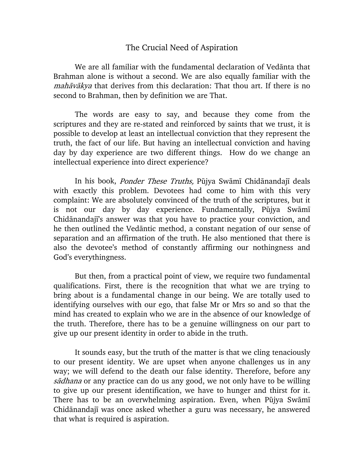## The Crucial Need of Aspiration

We are all familiar with the fundamental declaration of Vedānta that Brahman alone is without a second. We are also equally familiar with the mahāvākya that derives from this declaration: That thou art. If there is no second to Brahman, then by definition we are That.

The words are easy to say, and because they come from the scriptures and they are re-stated and reinforced by saints that we trust, it is possible to develop at least an intellectual conviction that they represent the truth, the fact of our life. But having an intellectual conviction and having day by day experience are two different things. How do we change an intellectual experience into direct experience?

In his book, Ponder These Truths, Pūjya Swāmī Chidānandajī deals with exactly this problem. Devotees had come to him with this very complaint: We are absolutely convinced of the truth of the scriptures, but it is not our day by day experience. Fundamentally, Pūjya Swāmī Chidanandaji's answer was that you have to practice your conviction, and he then outlined the Vedantic method, a constant negation of our sense of separation and an affirmation of the truth. He also mentioned that there is also the devotee's method of constantly affirming our nothingness and God's everythingness.

But then, from a practical point of view, we require two fundamental qualifications. First, there is the recognition that what we are trying to bring about is a fundamental change in our being. We are totally used to identifying ourselves with our ego, that false Mr or Mrs so and so that the mind has created to explain who we are in the absence of our knowledge of the truth. Therefore, there has to be a genuine willingness on our part to give up our present identity in order to abide in the truth.

It sounds easy, but the truth of the matter is that we cling tenaciously to our present identity. We are upset when anyone challenges us in any way; we will defend to the death our false identity. Therefore, before any sādhana or any practice can do us any good, we not only have to be willing to give up our present identification, we have to hunger and thirst for it. There has to be an overwhelming aspiration. Even, when Pūjya Swāmī Chidānandajī was once asked whether a guru was necessary, he answered that what is required is aspiration.